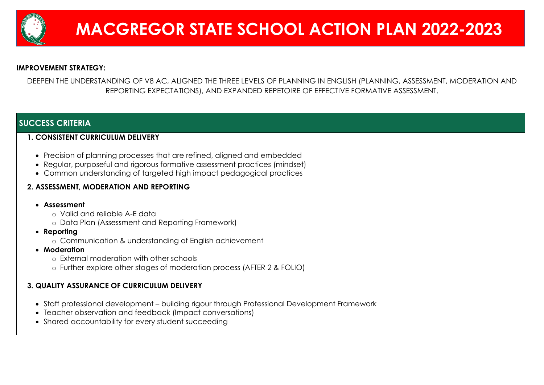

## **IMPROVEMENT STRATEGY:**

DEEPEN THE UNDERSTANDING OF V8 AC, ALIGNED THE THREE LEVELS OF PLANNING IN ENGLISH (PLANNING, ASSESSMENT, MODERATION AND REPORTING EXPECTATIONS), AND EXPANDED REPETOIRE OF EFFECTIVE FORMATIVE ASSESSMENT.

## **SUCCESS CRITERIA**

## **1. CONSISTENT CURRICULUM DELIVERY**

- Precision of planning processes that are refined, aligned and embedded
- Regular, purposeful and rigorous formative assessment practices (mindset)
- Common understanding of targeted high impact pedagogical practices

## **2. ASSESSMENT, MODERATION AND REPORTING**

## • **Assessment**

- o Valid and reliable A-E data
- o Data Plan (Assessment and Reporting Framework)
- **Reporting**
	- o Communication & understanding of English achievement
- **Moderation**
	- o External moderation with other schools
	- o Further explore other stages of moderation process (AFTER 2 & FOLIO)

## **3. QUALITY ASSURANCE OF CURRICULUM DELIVERY**

- Staff professional development building rigour through Professional Development Framework
- Teacher observation and feedback (Impact conversations)
- Shared accountability for every student succeeding

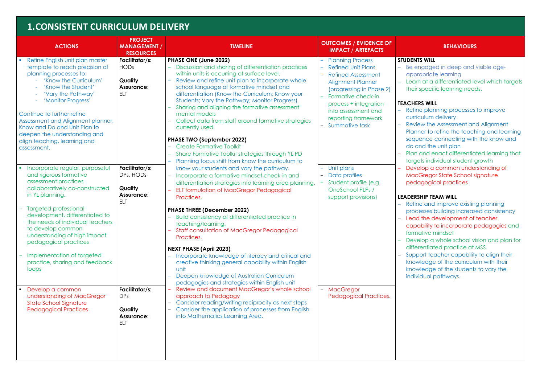## **1.CONSISTENT CURRICULUM DELIVERY**

| <b>ACTIONS</b>                                                                                                                                                                                                                                                                                                                                            | <b>PROJECT</b><br><b>MANAGEMENT /</b><br><b>RESOURCES</b>                   | <b>TIMELINE</b>                                                                                                                                                                                                                                                                                                                                                                                                                                                                                                                             | <b>OUTCOMES / EVIDENCE OF</b><br><b>IMPACT / ARTEFACTS</b>                                                                                                                                                                                               |                                                                                                       |
|-----------------------------------------------------------------------------------------------------------------------------------------------------------------------------------------------------------------------------------------------------------------------------------------------------------------------------------------------------------|-----------------------------------------------------------------------------|---------------------------------------------------------------------------------------------------------------------------------------------------------------------------------------------------------------------------------------------------------------------------------------------------------------------------------------------------------------------------------------------------------------------------------------------------------------------------------------------------------------------------------------------|----------------------------------------------------------------------------------------------------------------------------------------------------------------------------------------------------------------------------------------------------------|-------------------------------------------------------------------------------------------------------|
| Refine English unit plan master<br>template to reach precision of<br>planning processes to:<br>'Know the Curriculum'<br>'Know the Student'<br>'Vary the Pathway'<br>'Monitor Progress'<br>Continue to further refine<br>Assessment and Alignment planner,<br>Know and Do and Unit Plan to<br>deepen the understanding and<br>align teaching, learning and | Facilitator/s:<br><b>HODs</b><br>Quality<br><b>Assurance:</b><br><b>ELT</b> | PHASE ONE (June 2022)<br>Discussion and sharing of differentiation practices<br>within units is occurring at surface level.<br>Review and refine unit plan to incorporate whole<br>school language of formative mindset and<br>differentiation (Know the Curriculum; Know your<br>Students; Vary the Pathway; Monitor Progress)<br>Sharing and aligning the formative assessment<br>mental models<br>Collect data from staff around formative strategies<br>currently used<br>PHASE TWO (September 2022)<br><b>Create Formative Toolkit</b> | <b>Planning Process</b><br><b>Refined Unit Plans</b><br><b>Refined Assessment</b><br><b>Alignment Planner</b><br>(progressing in Phase 2)<br>Formative check-in<br>process + integration<br>into assessment and<br>reporting framework<br>Summative task | <b>STUDE</b><br>Be<br>ap<br>Leo<br>the<br><b>TEACH</b><br>Ret<br><b>CUI</b><br>Re<br>Pla<br>sec<br>do |
| assessment.<br>Incorporate regular, purposeful<br>and rigorous formative<br>assessment practices<br>collaboratively co-constructed<br>in YL planning.                                                                                                                                                                                                     | Facilitator/s:<br>DPs, HODs<br>Quality<br><b>Assurance:</b><br><b>ELT</b>   | Share Formative Toolkit strategies through YL PD<br>Planning focus shift from know the curriculum to<br>know your students and vary the pathway.<br>Incorporate a formative mindset check-in and<br>differentiation strategies into learning area planning.<br>ELT formulation of MacGregor Pedagogical<br>Practices.                                                                                                                                                                                                                       | Unit plans<br>Data profiles<br>Student profile (e.g.<br>OneSchool PLPs /<br>support provisions)                                                                                                                                                          | Pla<br>tar<br>De<br>Mc<br>pe<br><b>LEADE</b>                                                          |
| <b>Targeted professional</b><br>development, differentiated to<br>the needs of individual teachers<br>to develop common<br>understanding of high impact<br>pedagogical practices<br>Implementation of targeted<br>practice, sharing and feedback<br>loops                                                                                                 |                                                                             | <b>PHASE THREE (December 2022)</b><br>Build consistency of differentiated practice in<br>teaching/learning.<br><b>Staff consultation of MacGregor Pedagogical</b><br>Practices.<br><b>NEXT PHASE (April 2023)</b><br>Incorporate knowledge of literacy and critical and<br>creative thinking general capability within English<br>unit<br>Deepen knowledge of Australian Curriculum                                                                                                                                                         |                                                                                                                                                                                                                                                          | Ret<br>prc<br><b>Lec</b><br>ca<br>for<br>De<br>diff<br>S∪r<br>kno<br>kno<br>ind                       |
| Develop a common<br>understanding of MacGregor<br><b>State School Signature</b><br><b>Pedagogical Practices</b>                                                                                                                                                                                                                                           | Facilitator/s:<br><b>DPs</b><br>Quality<br><b>Assurance:</b><br>ELT         | pedagogies and strategies within English unit<br>Review and document MacGregor's whole school<br>approach to Pedagogy<br>Consider reading/writing reciprocity as next steps<br>Consider the application of processes from English<br>into Mathematics Learning Area.                                                                                                                                                                                                                                                                        | <b>MacGregor</b><br>$\overline{\phantom{a}}$<br>Pedagogical Practices.                                                                                                                                                                                   |                                                                                                       |

#### **IMPACTES**

#### **NTS WILL**

engaged in deep and visible ageappropriate learning arn at a differentiated level which targets eir specific learning needs.

#### **TERS WILL**

- fine planning processes to improve **rriculum delivery** tiview the Assessment and Alignment anner to refine the teaching and learning quence connecting with the know and and the unit plan
- an and enact differentiated learning that gets individual student growth velop a common understanding of acGregor State School signature
- dagogical practices

#### **ERSHIP TEAM WILL**

- fine and improve existing planning processes building increased consistency ad the development of teacher apability to incorporate pedagogies and mative mindset evelop a whole school vision and plan for ferentiated practice at MSS. pport teacher capability to align their owledge of the curriculum with their
- owledge of the students to vary the dividual pathways.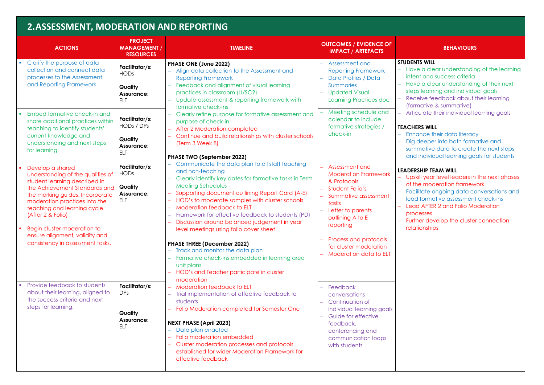# **2.ASSESSMENT, MODERATION AND REPORTING**

hance their data literacy g deeper into both formative and mmative data to create the next steps and individual learning goals for students

#### **ERSHIP TEAM WILL**

oskill year level leaders in the next phases the moderation framework − Facilitate ongoing data conversations and ad formative assessment check-ins ad AFTER 2 and Folio Moderation **processes** rther develop the cluster connection **lationships** 

| <b>ACTIONS</b>                                                                                                                                                                                                                                                                                                                                        | <b>PROJECT</b><br><b>MANAGEMENT /</b><br><b>RESOURCES</b>                       | <b>TIMELINE</b>                                                                                                                                                                                                                                                                                                                                                                                                                                                                                                                                                                                                                                                           | <b>OUTCOMES / EVIDENCE OF</b><br><b>IMPACT / ARTEFACTS</b>                                                                                                                                                                                                 |                                                                                                        |
|-------------------------------------------------------------------------------------------------------------------------------------------------------------------------------------------------------------------------------------------------------------------------------------------------------------------------------------------------------|---------------------------------------------------------------------------------|---------------------------------------------------------------------------------------------------------------------------------------------------------------------------------------------------------------------------------------------------------------------------------------------------------------------------------------------------------------------------------------------------------------------------------------------------------------------------------------------------------------------------------------------------------------------------------------------------------------------------------------------------------------------------|------------------------------------------------------------------------------------------------------------------------------------------------------------------------------------------------------------------------------------------------------------|--------------------------------------------------------------------------------------------------------|
| Clarify the purpose of data<br>collection and connect data<br>processes to the Assessment<br>and Reporting Framework<br>Embed formative check-in and                                                                                                                                                                                                  | Facilitator/s:<br><b>HODs</b><br>Quality<br><b>Assurance:</b><br><b>ELT</b>     | PHASE ONE (June 2022)<br>Align data collection to the Assessment and<br><b>Reporting Framework</b><br>Feedback and alignment of visual learning<br>practices in classroom (LI/SC?)<br>Update assessment & reporting framework with<br>formative check-ins<br>Clearly refine purpose for formative assessment and                                                                                                                                                                                                                                                                                                                                                          | Assessment and<br><b>Reporting Framework</b><br>Data Profiles / Data<br><b>Summaries</b><br><b>Updated Visual</b><br>Learning Practices doc<br>Meeting schedule and                                                                                        | <b>STUDE</b><br>Ha<br>inte<br>Ha<br><b>ste</b><br>Re<br>-<br>(f <sub>O</sub> )<br>$-$ Art              |
| share additional practices within<br>teaching to identify students'<br>current knowledge and<br>understanding and next steps<br>for learning.                                                                                                                                                                                                         | Facilitator/s:<br>HODs / DPs<br>Quality<br><b>Assurance:</b><br><b>ELT</b>      | purpose of check-in<br>After 2 Moderation completed<br>Continue and build relationships with cluster schools<br>(Term 3 Week 8)<br><b>PHASE TWO (September 2022)</b>                                                                                                                                                                                                                                                                                                                                                                                                                                                                                                      | calendar to include<br>formative strategies /<br>check-in                                                                                                                                                                                                  | <b>TEACH</b><br>Enl<br>Dig<br>sur<br>an                                                                |
| Develop a shared<br>understanding of the qualities of<br>student learning described in<br>the Achievement Standards and<br>the marking guides. Incorporate<br>moderation practices into the<br>teaching and learning cycle.<br>(After 2 & Folio)<br>Begin cluster moderation to<br>ensure alignment, validity and<br>consistency in assessment tasks. | Facilitator/s:<br><b>HODs</b><br>Quality<br><b>Assurance:</b><br>ELT            | Communicate the data plan to all staff teaching<br>and non-teaching<br>Clearly identify key dates for formative tasks in Term<br>Meeting Schedules<br>Supporting document outlining Report Card (A-E)<br>HOD's to moderate samples with cluster schools<br><b>Moderation feedback to ELT</b><br>$\overline{\phantom{m}}$<br>Framework for effective feedback to students (PD)<br>Discussion around balanced judgement in year<br>level meetings using folio cover sheet<br><b>PHASE THREE (December 2022)</b><br>Track and monitor the data plan<br>Formative check-ins embedded in learning area<br>unit plans<br>HOD's and Teacher participate in cluster<br>moderation | Assessment and<br><b>Moderation Framework</b><br>& Protocols<br>Student Folio's<br>Summative assessment<br>tasks<br>Letter to parents<br>outlining A to E<br>reporting<br>Process and protocols<br>for cluster moderation<br><b>Moderation data to ELT</b> | <b>LEADE</b><br>– Up<br><b>of</b><br>Fa<br>lec<br>Leo<br>$\overline{\phantom{0}}$<br>pro<br>Fur<br>rel |
| Provide feedback to students<br>about their learning, aligned to<br>the success criteria and next<br>steps for learning.                                                                                                                                                                                                                              | Facilitator/s:<br>DP <sub>s</sub><br>Quality<br><b>Assurance:</b><br><b>ELT</b> | <b>Moderation feedback to ELT</b><br>Trial implementation of effective feedback to<br>students<br>Folio Moderation completed for Semester One<br><b>NEXT PHASE (April 2023)</b><br>Data plan enacted<br>Folio moderation embedded<br>Cluster moderation processes and protocols<br>established for wider Moderation Framework for<br>effective feedback                                                                                                                                                                                                                                                                                                                   | Feedback<br>$\equiv$<br>conversations<br>Continuation of<br>individual learning goals<br>Guide for effective<br>feedback,<br>conferencing and<br>communication loops<br>with students                                                                      |                                                                                                        |

#### **BEHAVIOURS**

#### **SNTS WILL**

ave a clear understanding of the learning ent and success criteria ave a clear understanding of their next eps learning and individual goals eceive feedback about their learning ormative & summative) ticulate their individual learning goals

#### **THERS WILL**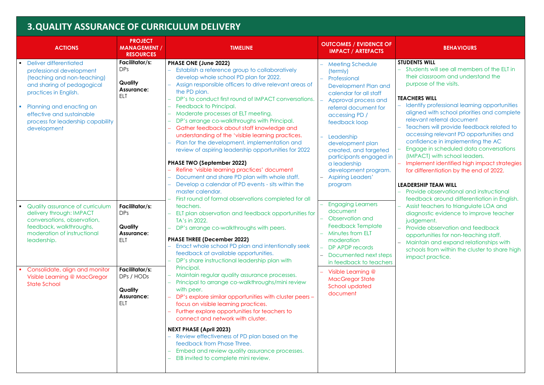## **3.QUALITY ASSURANCE OF CURRICULUM DELIVERY**

achers will provide feedback related to cessing relevant PD opportunities and confidence in implementing the AC

gage in scheduled data conversations APACT) with school leaders.

− Implement identified high impact strategies differentiation by the end of 2022.

#### **ERSHIP TEAM WILL**

**Druide observational and instructional** edback around differentiation in English. sist teachers to triangulate LOA and agnostic evidence to improve teacher dgement.

nvide observation and feedback opportunities for non-teaching staff. aintain and expand relationships with hools from within the cluster to share high pact practice.

|                                                                                                                                       | <b>ACTIONS</b>                                                                                                                                                      | <b>PROJECT</b><br><b>MANAGEMENT /</b><br><b>RESOURCES</b>                                                                                                                                                                                                                                                              | <b>TIMELINE</b>                                                                                                                                                                                                                                                                                                                                                           | <b>OUTCOMES / EVIDENCE OF</b><br><b>IMPACT / ARTEFACTS</b>                                                                                                                                   |                                                     |
|---------------------------------------------------------------------------------------------------------------------------------------|---------------------------------------------------------------------------------------------------------------------------------------------------------------------|------------------------------------------------------------------------------------------------------------------------------------------------------------------------------------------------------------------------------------------------------------------------------------------------------------------------|---------------------------------------------------------------------------------------------------------------------------------------------------------------------------------------------------------------------------------------------------------------------------------------------------------------------------------------------------------------------------|----------------------------------------------------------------------------------------------------------------------------------------------------------------------------------------------|-----------------------------------------------------|
|                                                                                                                                       | Deliver differentiated<br>professional development<br>(teaching and non-teaching)<br>and sharing of pedagogical<br>practices in English.                            | Facilitator/s:<br><b>DPs</b><br><b>Quality</b><br><b>Assurance:</b><br><b>ELT</b>                                                                                                                                                                                                                                      | PHASE ONE (June 2022)<br>Establish a reference group to collaboratively<br>develop whole school PD plan for 2022.<br>Assign responsible officers to drive relevant areas of<br>the PD plan.<br>DP's to conduct first round of IMPACT conversations.                                                                                                                       | <b>Meeting Schedule</b><br>(termly)<br>Professional<br>Development Plan and<br>calendar for all staff<br>Approval process and                                                                | <b>STUDE</b><br>. Stu<br>the<br>pur<br><b>TEACH</b> |
| Planning and enacting an<br>$\overline{\phantom{a}}$<br>effective and sustainable<br>process for leadership capability<br>development |                                                                                                                                                                     | Feedback to Principal.<br>Moderate processes at ELT meeting.<br>DP's arrange co-walkthroughs with Principal.<br>Gather feedback about staff knowledge and<br>understanding of the 'visible learning practices.<br>Plan for the development, implementation and<br>review of aspiring leadership opportunities for 2022 | referral document for<br>accessing PD /<br>feedback loop<br>Leadership<br>development plan<br>created, and targeted                                                                                                                                                                                                                                                       | Ide<br>alig<br>rele<br>Tec<br>OC<br>COI<br>Eng<br>(IM)                                                                                                                                       |                                                     |
|                                                                                                                                       |                                                                                                                                                                     |                                                                                                                                                                                                                                                                                                                        | <b>PHASE TWO (September 2022)</b><br>Refine 'visible learning practices' document<br>Document and share PD plan with whole staff.<br>Develop a calendar of PD events - sits within the<br>master calendar.                                                                                                                                                                | participants engaged in<br>a leadership<br>development program.<br><b>Aspiring Leaders'</b><br>program                                                                                       | lmr<br>for<br><b>LEADE</b><br>Pro<br>fee            |
| $\blacksquare$                                                                                                                        | Quality assurance of curriculum<br>delivery through: IMPACT<br>conversations, observation,<br>feedback, walkthroughs,<br>moderation of instructional<br>leadership. | Facilitator/s:<br><b>DPs</b><br>Quality<br><b>Assurance:</b><br><b>ELT</b>                                                                                                                                                                                                                                             | First round of formal observations completed for all<br>teachers.<br>ELT plan observation and feedback opportunities for<br>TA's in 2022.<br>DP's arrange co-walkthroughs with peers.<br><b>PHASE THREE (December 2022)</b><br>Enact whole school PD plan and intentionally seek<br>feedback at available opportunities.<br>DP's share instructional leadership plan with | <b>Engaging Learners</b><br>document<br>Observation and<br><b>Feedback Template</b><br>Minutes from ELT<br>moderation<br>DP APDP records<br>Documented next steps<br>in feedback to teachers | Ass<br>dia<br>jud<br>Pro<br>op<br>Mc<br>sch<br>imp  |
| Consolidate, align and monitor<br>Visible Learning @ MacGregor<br><b>State School</b>                                                 | Facilitator/s:<br>DPs / HODs<br>Quality<br><b>Assurance:</b><br>ELT                                                                                                 | Principal.<br>Maintain regular quality assurance processes.<br>Principal to arrange co-walkthroughs/mini review<br>with peer.<br>DP's explore similar opportunities with cluster peers -<br>focus on visible learning practices.<br>Further explore opportunities for teachers to<br>connect and network with cluster. | Visible Learning @<br><b>MacGregor State</b><br>School updated<br>document                                                                                                                                                                                                                                                                                                |                                                                                                                                                                                              |                                                     |
|                                                                                                                                       |                                                                                                                                                                     | <b>NEXT PHASE (April 2023)</b><br>Review effectiveness of PD plan based on the<br>feedback from Phase Three.<br>Embed and review quality assurance processes.<br>EIB invited to complete mini review.                                                                                                                  |                                                                                                                                                                                                                                                                                                                                                                           |                                                                                                                                                                                              |                                                     |

#### **BEHAVIOURS**

#### **NTS WILL**

dents will see all members of the ELT in eir classroom and understand the rpose of the visits.

#### **TERS WILL**

ntify professional learning opportunities∈ gned with school priorities and complete evant referral document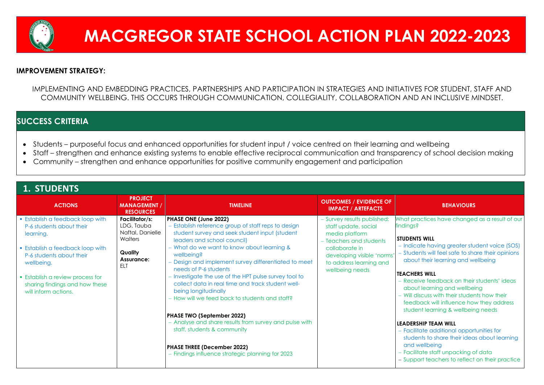## **IMPROVEMENT STRATEGY:**

IMPLEMENTING AND EMBEDDING PRACTICES, PARTNERSHIPS AND PARTICIPATION IN STRATEGIES AND INITIATIVES FOR STUDENT, STAFF AND COMMUNITY WELLBEING. THIS OCCURS THROUGH COMMUNICATION, COLLEGIALITY, COLLABORATION AND AN INCLUSIVE MINDSET.

## **SUCCESS CRITERIA**

- Students purposeful focus and enhanced opportunities for student input / voice centred on their learning and wellbeing
- Staff strengthen and enhance existing systems to enable effective reciprocal communication and transparency of school decision making
- Community strengthen and enhance opportunities for positive community engagement and participation

− Facilitate additional opportunities for dents to share their ideas about learning d wellbeina − Facilitate staff unpacking of data port teachers to reflect on their practice

| <b>1. STUDENTS</b><br><b>ACTIONS</b>                                                            | <b>PROJECT</b><br><b>MANAGEMENT /</b><br><b>RESOURCES</b>          | <b>TIMELINE</b>                                                                                                                                                                      | <b>OUTCOMES / EVIDENCE OF</b><br><b>IMPACT / ARTEFACTS</b>                                       |                                                 |
|-------------------------------------------------------------------------------------------------|--------------------------------------------------------------------|--------------------------------------------------------------------------------------------------------------------------------------------------------------------------------------|--------------------------------------------------------------------------------------------------|-------------------------------------------------|
| <b>Establish a feedback loop with</b><br>P-6 students about their<br>learning.                  | Facilitator/s:<br>LDG, Tauba<br>Naftal, Danielle<br><b>Walters</b> | PHASE ONE (June 2022)<br>- Establish reference group of staff reps to design<br>student survey and seek student input (student<br>leaders and school council)                        | - Survey results published:<br>staff update, social<br>media platform<br>- Teachers and students | What p<br>finding<br><b>STUDE</b>               |
| • Establish a feedback loop with<br>P-6 students about their<br>wellbeing.                      | <b>Quality</b><br><b>Assurance:</b><br><b>ELT</b>                  | - What do we want to know about learning &<br>wellbeing?<br>- Design and implement survey differentiated to meet<br>needs of P-6 students                                            | collaborate in<br>developing visible 'norms'<br>to address learning and<br>wellbeing needs       | - Indi<br>– Stuc<br>abc                         |
| <b>Establish a review process for</b><br>sharing findings and how these<br>will inform actions. |                                                                    | - Investigate the use of the HPT pulse survey tool to<br>collect data in real time and track student well-<br>being longitudinally<br>- How will we feed back to students and staff? |                                                                                                  | <b>TEACH</b><br>– Rec<br>abo<br>$-$ Will<br>fee |
|                                                                                                 |                                                                    | <b>PHASE TWO (September 2022)</b>                                                                                                                                                    |                                                                                                  | stuc                                            |
|                                                                                                 |                                                                    | - Analyse and share results from survey and pulse with<br>staff, students & community                                                                                                |                                                                                                  | <b>LEADE</b><br>– Fac<br>stuc                   |
|                                                                                                 |                                                                    | <b>PHASE THREE (December 2022)</b><br>- Findings influence strategic planning for 2023                                                                                               |                                                                                                  | and<br>$-$ Fac<br>$-$ Sup                       |

## **BEHAVIOURS**

practices have changed as a result of our isg

### **NTS WILL**

licate having greater student voice (SOS) dents will feel safe to share their opinions out their learning and wellbeing

### **TERS WILL**

ceive feedback on their students' ideas out learning and wellbeing − Will discuss with their students how their dback will influence how they address dent learning & wellbeing needs

### **LEARE TEAM WILL**



# **MACGREGOR STATE SCHOOL ACTION PLAN 2022-2023**